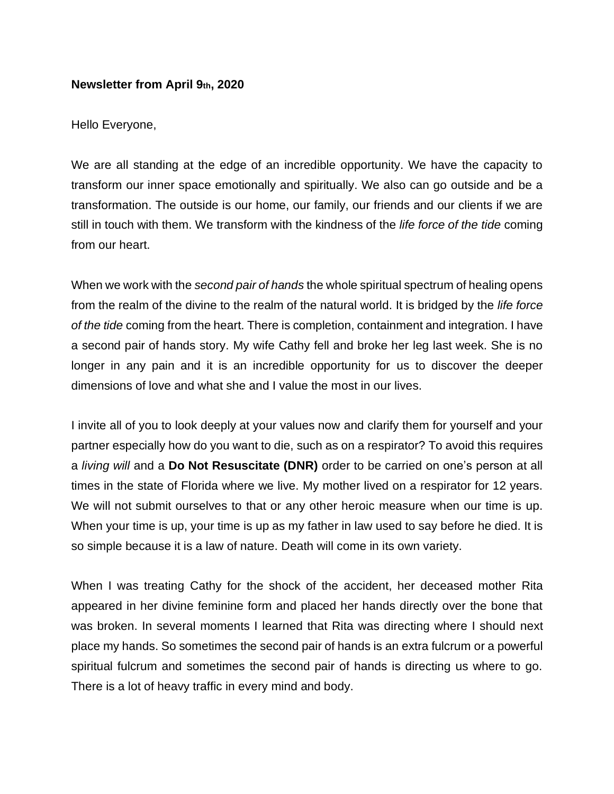## **Newsletter from April 9th, 2020**

Hello Everyone,

We are all standing at the edge of an incredible opportunity. We have the capacity to transform our inner space emotionally and spiritually. We also can go outside and be a transformation. The outside is our home, our family, our friends and our clients if we are still in touch with them. We transform with the kindness of the *life force of the tide* coming from our heart.

When we work with the *second pair of hands* the whole spiritual spectrum of healing opens from the realm of the divine to the realm of the natural world. It is bridged by the *life force of the tide* coming from the heart. There is completion, containment and integration. I have a second pair of hands story. My wife Cathy fell and broke her leg last week. She is no longer in any pain and it is an incredible opportunity for us to discover the deeper dimensions of love and what she and I value the most in our lives.

I invite all of you to look deeply at your values now and clarify them for yourself and your partner especially how do you want to die, such as on a respirator? To avoid this requires a *living will* and a **Do Not Resuscitate (DNR)** order to be carried on one's person at all times in the state of Florida where we live. My mother lived on a respirator for 12 years. We will not submit ourselves to that or any other heroic measure when our time is up. When your time is up, your time is up as my father in law used to say before he died. It is so simple because it is a law of nature. Death will come in its own variety.

When I was treating Cathy for the shock of the accident, her deceased mother Rita appeared in her divine feminine form and placed her hands directly over the bone that was broken. In several moments I learned that Rita was directing where I should next place my hands. So sometimes the second pair of hands is an extra fulcrum or a powerful spiritual fulcrum and sometimes the second pair of hands is directing us where to go. There is a lot of heavy traffic in every mind and body.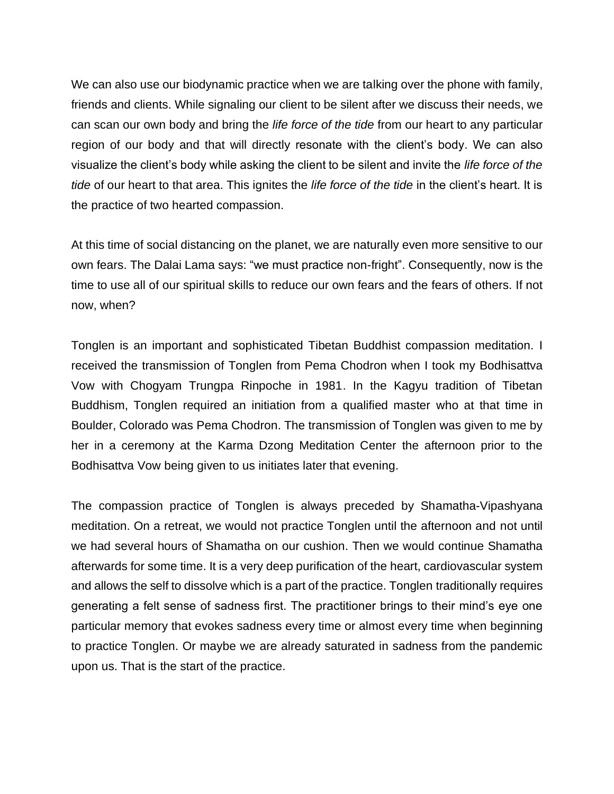We can also use our biodynamic practice when we are talking over the phone with family, friends and clients. While signaling our client to be silent after we discuss their needs, we can scan our own body and bring the *life force of the tide* from our heart to any particular region of our body and that will directly resonate with the client's body. We can also visualize the client's body while asking the client to be silent and invite the *life force of the tide* of our heart to that area. This ignites the *life force of the tide* in the client's heart. It is the practice of two hearted compassion.

At this time of social distancing on the planet, we are naturally even more sensitive to our own fears. The Dalai Lama says: "we must practice non-fright". Consequently, now is the time to use all of our spiritual skills to reduce our own fears and the fears of others. If not now, when?

Tonglen is an important and sophisticated Tibetan Buddhist compassion meditation. I received the transmission of Tonglen from Pema Chodron when I took my Bodhisattva Vow with Chogyam Trungpa Rinpoche in 1981. In the Kagyu tradition of Tibetan Buddhism, Tonglen required an initiation from a qualified master who at that time in Boulder, Colorado was Pema Chodron. The transmission of Tonglen was given to me by her in a ceremony at the Karma Dzong Meditation Center the afternoon prior to the Bodhisattva Vow being given to us initiates later that evening.

The compassion practice of Tonglen is always preceded by Shamatha-Vipashyana meditation. On a retreat, we would not practice Tonglen until the afternoon and not until we had several hours of Shamatha on our cushion. Then we would continue Shamatha afterwards for some time. It is a very deep purification of the heart, cardiovascular system and allows the self to dissolve which is a part of the practice. Tonglen traditionally requires generating a felt sense of sadness first. The practitioner brings to their mind's eye one particular memory that evokes sadness every time or almost every time when beginning to practice Tonglen. Or maybe we are already saturated in sadness from the pandemic upon us. That is the start of the practice.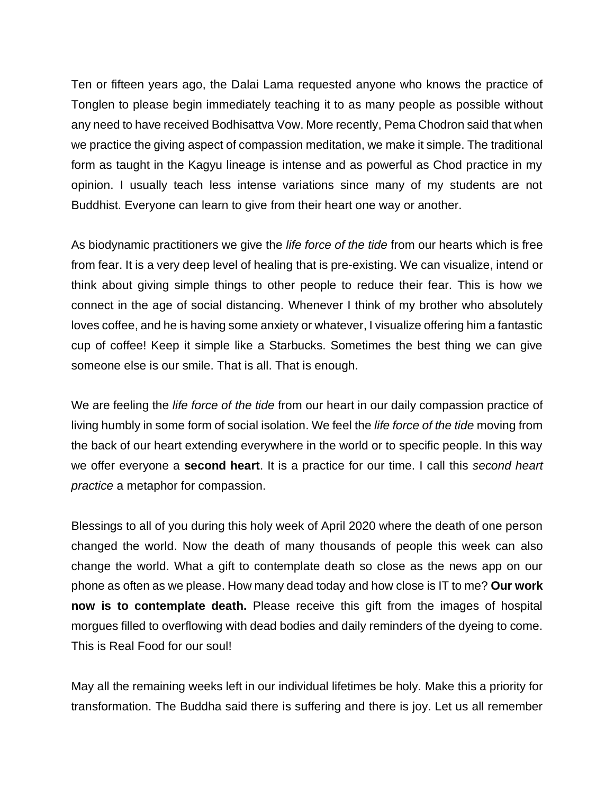Ten or fifteen years ago, the Dalai Lama requested anyone who knows the practice of Tonglen to please begin immediately teaching it to as many people as possible without any need to have received Bodhisattva Vow. More recently, Pema Chodron said that when we practice the giving aspect of compassion meditation, we make it simple. The traditional form as taught in the Kagyu lineage is intense and as powerful as Chod practice in my opinion. I usually teach less intense variations since many of my students are not Buddhist. Everyone can learn to give from their heart one way or another.

As biodynamic practitioners we give the *life force of the tide* from our hearts which is free from fear. It is a very deep level of healing that is pre-existing. We can visualize, intend or think about giving simple things to other people to reduce their fear. This is how we connect in the age of social distancing. Whenever I think of my brother who absolutely loves coffee, and he is having some anxiety or whatever, I visualize offering him a fantastic cup of coffee! Keep it simple like a Starbucks. Sometimes the best thing we can give someone else is our smile. That is all. That is enough.

We are feeling the *life force of the tide* from our heart in our daily compassion practice of living humbly in some form of social isolation. We feel the *life force of the tide* moving from the back of our heart extending everywhere in the world or to specific people. In this way we offer everyone a **second heart**. It is a practice for our time. I call this *second heart practice* a metaphor for compassion.

Blessings to all of you during this holy week of April 2020 where the death of one person changed the world. Now the death of many thousands of people this week can also change the world. What a gift to contemplate death so close as the news app on our phone as often as we please. How many dead today and how close is IT to me? **Our work now is to contemplate death.** Please receive this gift from the images of hospital morgues filled to overflowing with dead bodies and daily reminders of the dyeing to come. This is Real Food for our soul!

May all the remaining weeks left in our individual lifetimes be holy. Make this a priority for transformation. The Buddha said there is suffering and there is joy. Let us all remember